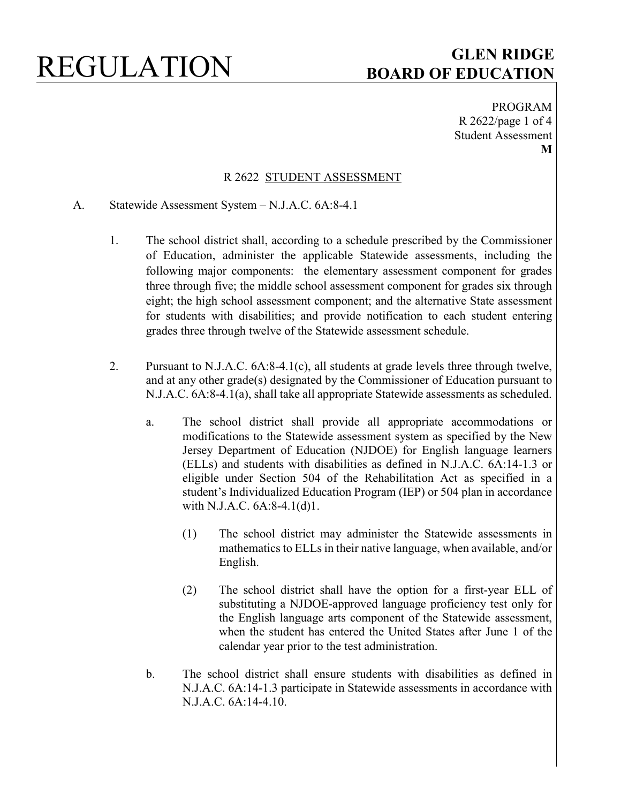PROGRAM R 2622/page 1 of 4 Student Assessment **M**

### R 2622 STUDENT ASSESSMENT

- A. Statewide Assessment System N.J.A.C. 6A:8-4.1
	- 1. The school district shall, according to a schedule prescribed by the Commissioner of Education, administer the applicable Statewide assessments, including the following major components: the elementary assessment component for grades three through five; the middle school assessment component for grades six through eight; the high school assessment component; and the alternative State assessment for students with disabilities; and provide notification to each student entering grades three through twelve of the Statewide assessment schedule.
	- 2. Pursuant to N.J.A.C. 6A:8-4.1(c), all students at grade levels three through twelve, and at any other grade(s) designated by the Commissioner of Education pursuant to N.J.A.C. 6A:8-4.1(a), shall take all appropriate Statewide assessments as scheduled.
		- a. The school district shall provide all appropriate accommodations or modifications to the Statewide assessment system as specified by the New Jersey Department of Education (NJDOE) for English language learners (ELLs) and students with disabilities as defined in N.J.A.C. 6A:14-1.3 or eligible under Section 504 of the Rehabilitation Act as specified in a student's Individualized Education Program (IEP) or 504 plan in accordance with N.J.A.C. 6A:8-4.1(d)1.
			- (1) The school district may administer the Statewide assessments in mathematics to ELLs in their native language, when available, and/or English.
			- (2) The school district shall have the option for a first-year ELL of substituting a NJDOE-approved language proficiency test only for the English language arts component of the Statewide assessment, when the student has entered the United States after June 1 of the calendar year prior to the test administration.
		- b. The school district shall ensure students with disabilities as defined in N.J.A.C. 6A:14-1.3 participate in Statewide assessments in accordance with N.J.A.C. 6A:14-4.10.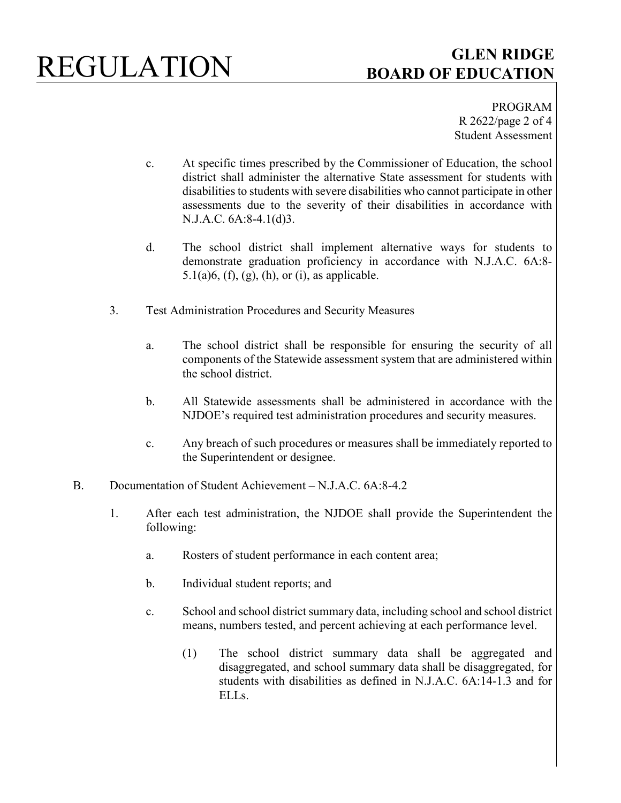PROGRAM R 2622/page 2 of 4 Student Assessment

- c. At specific times prescribed by the Commissioner of Education, the school district shall administer the alternative State assessment for students with disabilities to students with severe disabilities who cannot participate in other assessments due to the severity of their disabilities in accordance with N.J.A.C. 6A:8-4.1(d)3.
- d. The school district shall implement alternative ways for students to demonstrate graduation proficiency in accordance with N.J.A.C. 6A:8- 5.1(a)6, (f), (g), (h), or (i), as applicable.
- 3. Test Administration Procedures and Security Measures
	- a. The school district shall be responsible for ensuring the security of all components of the Statewide assessment system that are administered within the school district.
	- b. All Statewide assessments shall be administered in accordance with the NJDOE's required test administration procedures and security measures.
	- c. Any breach of such procedures or measures shall be immediately reported to the Superintendent or designee.
- B. Documentation of Student Achievement N.J.A.C. 6A:8-4.2
	- 1. After each test administration, the NJDOE shall provide the Superintendent the following:
		- a. Rosters of student performance in each content area;
		- b. Individual student reports; and
		- c. School and school district summary data, including school and school district means, numbers tested, and percent achieving at each performance level.
			- (1) The school district summary data shall be aggregated and disaggregated, and school summary data shall be disaggregated, for students with disabilities as defined in N.J.A.C. 6A:14-1.3 and for ELLs.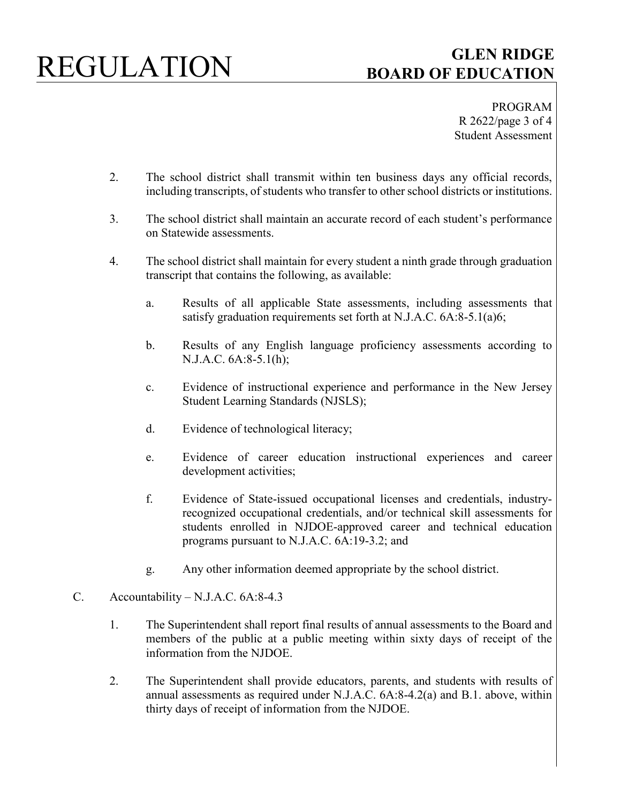PROGRAM R 2622/page 3 of 4 Student Assessment

- 2. The school district shall transmit within ten business days any official records, including transcripts, of students who transfer to other school districts or institutions.
- 3. The school district shall maintain an accurate record of each student's performance on Statewide assessments.
- 4. The school district shall maintain for every student a ninth grade through graduation transcript that contains the following, as available:
	- a. Results of all applicable State assessments, including assessments that satisfy graduation requirements set forth at N.J.A.C. 6A:8-5.1(a)6;
	- b. Results of any English language proficiency assessments according to N.J.A.C. 6A:8-5.1(h);
	- c. Evidence of instructional experience and performance in the New Jersey Student Learning Standards (NJSLS);
	- d. Evidence of technological literacy;
	- e. Evidence of career education instructional experiences and career development activities;
	- f. Evidence of State-issued occupational licenses and credentials, industryrecognized occupational credentials, and/or technical skill assessments for students enrolled in NJDOE-approved career and technical education programs pursuant to N.J.A.C. 6A:19-3.2; and
	- g. Any other information deemed appropriate by the school district.
- C. Accountability N.J.A.C. 6A:8-4.3
	- 1. The Superintendent shall report final results of annual assessments to the Board and members of the public at a public meeting within sixty days of receipt of the information from the NJDOE.
	- 2. The Superintendent shall provide educators, parents, and students with results of annual assessments as required under N.J.A.C. 6A:8-4.2(a) and B.1. above, within thirty days of receipt of information from the NJDOE.